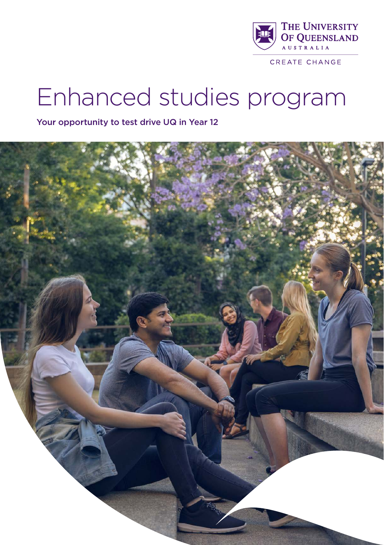

CREATE CHANGE

# Enhanced studies program

Your opportunity to test drive UQ in Year 12

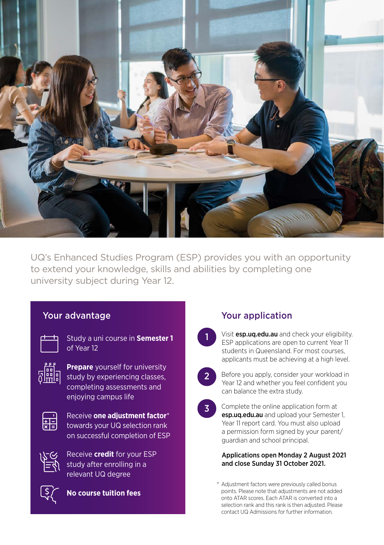

UQ's Enhanced Studies Program (ESP) provides you with an opportunity to extend your knowledge, skills and abilities by completing one university subject during Year 12.

1

2

#### Your advantage

| <b>STATISTICS</b> | <b>Service Service</b> |
|-------------------|------------------------|
|                   |                        |
|                   |                        |

Study a uni course in **Semester 1**  of Year 12



**Prepare** yourself for university **of the Prepare** yourself for university<br>  $\sqrt[n]{\frac{d}{d}}$  study by experiencing classes, completing assessments and enjoying campus life

Receive **one adjustment factor**\* towards your UQ selection rank on successful completion of ESP



Receive **credit** for your ESP study after enrolling in a relevant UQ degree



**No course tuition fees**

### Your application

Visit [esp.uq.edu.au](http://esp.uq.edu.au) and check your eligibility. ESP applications are open to current Year 11 students in Queensland. For most courses, applicants must be achieving at a high level.





#### Applications open Monday 2 August 2021 and close Sunday 31 October 2021.

\* Adjustment factors were previously called bonus points. Please note that adjustments are not added onto ATAR scores. Each ATAR is converted into a selection rank and this rank is then adjusted. Please contact UQ Admissions for further information.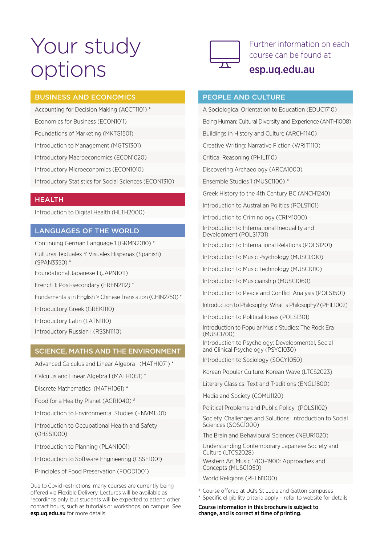## Your study options



Further information on each course can be found at

### [esp.uq.edu.au](http://esp.uq.edu.au)

#### BUSINESS AND ECONOMICS

Accounting for Decision Making (ACCT1101) \* Economics for Business (ECON1011) Foundations of Marketing (MKTG1501) Introduction to Management (MGTS1301) Introductory Macroeconomics (ECON1020) Introductory Microeconomics (ECON1010)

Introductory Statistics for Social Sciences (ECON1310)

#### **HEALTH**

Introduction to Digital Health (HLTH2000)

#### LANGUAGES OF THE WORLD

Continuing German Language 1 (GRMN2010) \* Culturas Textuales Y Visuales Hispanas (Spanish) (SPAN3350) \*

Foundational Japanese 1 (JAPN1011)

French 1: Post-secondary (FREN2112) \*

Fundamentals in English > Chinese Translation (CHIN2750) \*

Introductory Greek (GREK1110)

Introductory Latin (LATN1110)

Introductory Russian I (RSSN1110)

#### SCIENCE, MATHS AND THE ENVIRONMENT

Advanced Calculus and Linear Algebra I (MATH1071) \*

Calculus and Linear Algebra I (MATH1051) \*

Discrete Mathematics (MATH1061) \*

Food for a Healthy Planet (AGR1040) #

Introduction to Environmental Studies (ENVM1501)

Introduction to Occupational Health and Safety (OHSS1000)

Introduction to Planning (PLAN1001)

Introduction to Software Engineering (CSSE1001)

Principles of Food Preservation (FOOD1001)

Due to Covid restrictions, many courses are currently being offered via Flexible Delivery. Lectures will be available as recordings only, but students will be expected to attend other contact hours, such as tutorials or workshops, on campus. See esp.uq.edu.au for more details.

#### PEOPLE AND CULTURE

A Sociological Orientation to Education (EDUC1710) Being Human: Cultural Diversity and Experience (ANTH1008) Buildings in History and Culture (ARCH1140) Creative Writing: Narrative Fiction (WRIT1110) Critical Reasoning (PHIL1110) Discovering Archaeology (ARCA1000) Ensemble Studies 1 (MUSC1100) \* Greek History to the 4th Century BC (ANCH1240) Introduction to Australian Politics (POLS1101) Introduction to Criminology (CRIM1000) Introduction to International Inequality and Development (POLS1701) Introduction to International Relations (POLS1201) Introduction to Music Psychology (MUSC1300) Introduction to Music Technology (MUSC1010) Introduction to Musicianship (MUSC1060) Introduction to Peace and Conflict Analysis (POLS1501) Introduction to Philosophy: What is Philosophy? (PHIL1002) Introduction to Political Ideas (POLS1301)

> Introduction to Popular Music Studies: The Rock Era (MUSC1700)

> Introduction to Psychology: Developmental, Social and Clinical Psychology (PSYC1030)

Introduction to Sociology (SOCY1050)

Korean Popular Culture: Korean Wave (LTCS2023)

Literary Classics: Text and Traditions (ENGL1800)

Media and Society (COMU1120)

Political Problems and Public Policy (POLS1102)

Society, Challenges and Solutions: Introduction to Social Sciences (SOSC1000)

The Brain and Behavioural Sciences (NEUR1020)

Understanding Contemporary Japanese Society and Culture (LTCS2028)

Western Art Music 1700–1900: Approaches and Concepts (MUSC1050)

World Religions (RFLN1000)

# Course offered at UQ's St Lucia and Gatton campuses \* Specific eligibility criteria apply – refer to website for details

Course information in this brochure is subject to change, and is correct at time of printing.